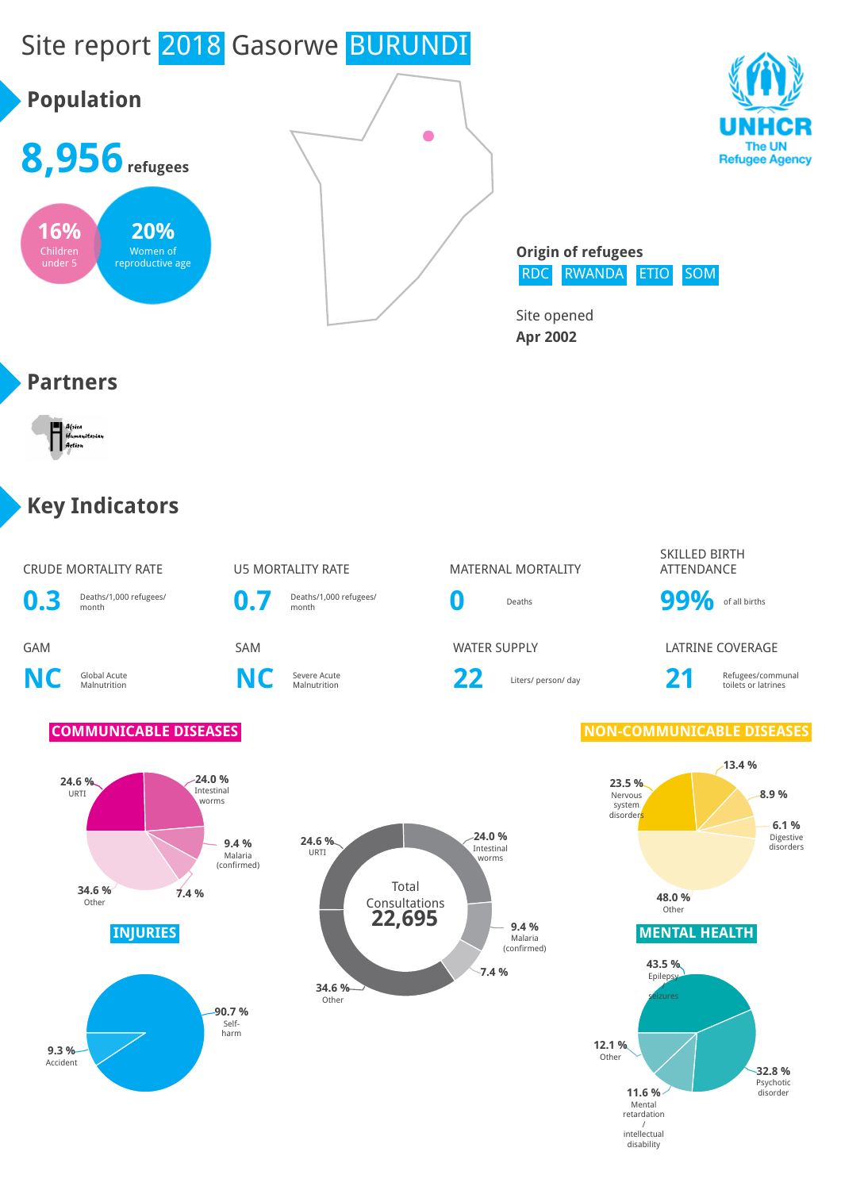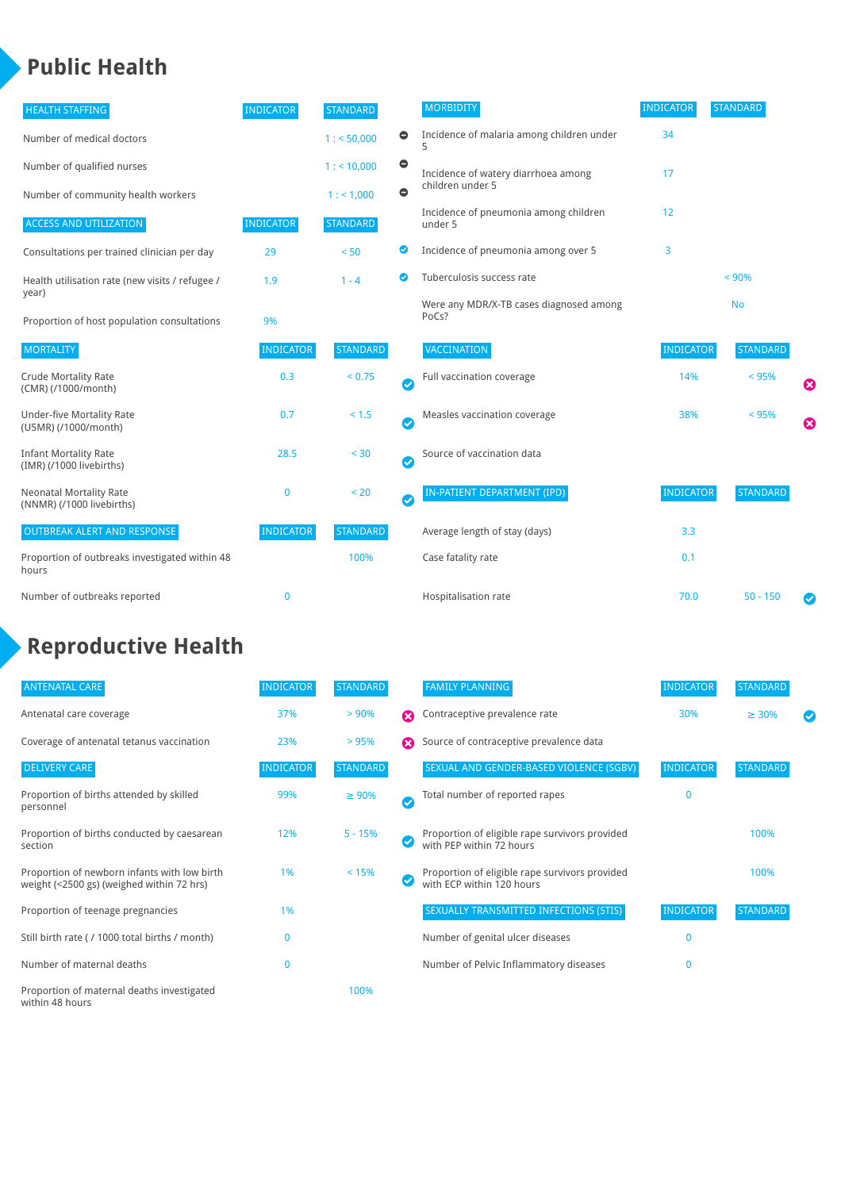## **Public Health**

| <b>HEALTH STAFFING</b>                                      | <b>INDICATOR</b> | <b>STANDARD</b> |           | <b>MORBIDITY</b>                                 | <b>INDICATOR</b> | <b>STANDARD</b> |   |
|-------------------------------------------------------------|------------------|-----------------|-----------|--------------------------------------------------|------------------|-----------------|---|
| Number of medical doctors                                   |                  | 1: 50,000       | $\bullet$ | Incidence of malaria among children under        | 34               |                 |   |
| Number of qualified nurses                                  |                  | $1:$ < 10,000   | $\bullet$ | Incidence of watery diarrhoea among              | 17               |                 |   |
| Number of community health workers                          |                  | 1:1,000         | $\bullet$ | children under 5                                 |                  |                 |   |
| <b>ACCESS AND UTILIZATION</b>                               | <b>INDICATOR</b> | <b>STANDARD</b> |           | Incidence of pneumonia among children<br>under 5 | 12               |                 |   |
| Consultations per trained clinician per day                 | 29               | < 50            | ◎         | Incidence of pneumonia among over 5              | 3                |                 |   |
| Health utilisation rate (new visits / refugee /             | 1.9              | $1 - 4$         | ◙         | Tuberculosis success rate                        |                  | < 90%           |   |
| year)<br>Proportion of host population consultations        | 9%               |                 |           | Were any MDR/X-TB cases diagnosed among<br>PoCs? |                  | <b>No</b>       |   |
| <b>MORTALITY</b>                                            | <b>INDICATOR</b> | <b>STANDARD</b> |           | <b>VACCINATION</b>                               | <b>INDICATOR</b> | <b>STANDARD</b> |   |
| <b>Crude Mortality Rate</b><br>(CMR) (/1000/month)          | 0.3              | < 0.75          | Ø         | Full vaccination coverage                        | 14%              | < 95%           | € |
| <b>Under-five Mortality Rate</b><br>(U5MR) (/1000/month)    | 0.7              | $< 1.5$         | Ø         | Measles vaccination coverage                     | 38%              | < 95%           | Ø |
| <b>Infant Mortality Rate</b><br>(IMR) (/1000 livebirths)    | 28.5             | $30$            | Ø         | Source of vaccination data                       |                  |                 |   |
| <b>Neonatal Mortality Rate</b><br>(NNMR) (/1000 livebirths) | 0                | < 20            | Ø         | IN-PATIENT DEPARTMENT (IPD)                      | <b>INDICATOR</b> | <b>STANDARD</b> |   |
| <b>OUTBREAK ALERT AND RESPONSE</b>                          | <b>INDICATOR</b> | <b>STANDARD</b> |           | Average length of stay (days)                    | 3.3              |                 |   |
| Proportion of outbreaks investigated within 48<br>hours     |                  | 100%            |           | Case fatality rate                               | 0.1              |                 |   |
| Number of outbreaks reported                                | 0                |                 |           | Hospitalisation rate                             | 70.0             | $50 - 150$      |   |

# **Reproductive Health**

| <b>ANTENATAL CARE</b>                                                                     | <b>INDICATOR</b> | <b>STANDARD</b> |   | <b>FAMILY PLANNING</b>                                                      | <b>INDICATOR</b> | <b>STANDARD</b> |  |
|-------------------------------------------------------------------------------------------|------------------|-----------------|---|-----------------------------------------------------------------------------|------------------|-----------------|--|
| Antenatal care coverage                                                                   | 37%              | > 90%           | ☎ | Contraceptive prevalence rate                                               | 30%              | $\geq 30\%$     |  |
| Coverage of antenatal tetanus vaccination                                                 | 23%              | >95%            | Ω | Source of contraceptive prevalence data                                     |                  |                 |  |
| <b>DELIVERY CARE</b>                                                                      | <b>INDICATOR</b> | <b>STANDARD</b> |   | SEXUAL AND GENDER-BASED VIOLENCE (SGBV)                                     | <b>INDICATOR</b> | <b>STANDARD</b> |  |
| Proportion of births attended by skilled<br>personnel                                     | 99%              | $\geq 90\%$     | Ø | Total number of reported rapes                                              | $\mathbf{0}$     |                 |  |
| Proportion of births conducted by caesarean<br>section                                    | 12%              | $5 - 15%$       |   | Proportion of eligible rape survivors provided<br>with PEP within 72 hours  |                  | 100%            |  |
| Proportion of newborn infants with low birth<br>weight (<2500 gs) (weighed within 72 hrs) | 1%               | < 15%           |   | Proportion of eligible rape survivors provided<br>with ECP within 120 hours |                  | 100%            |  |
| Proportion of teenage pregnancies                                                         | 1%               |                 |   | SEXUALLY TRANSMITTED INFECTIONS (STIS)                                      | <b>INDICATOR</b> | <b>STANDARD</b> |  |
| Still birth rate (/ 1000 total births / month)                                            | n                |                 |   | Number of genital ulcer diseases                                            | $\mathbf{0}$     |                 |  |
| Number of maternal deaths                                                                 | $\mathbf{0}$     |                 |   | Number of Pelvic Inflammatory diseases                                      | $\mathbf{0}$     |                 |  |
| Proportion of maternal deaths investigated<br>within 48 hours                             |                  | 100%            |   |                                                                             |                  |                 |  |